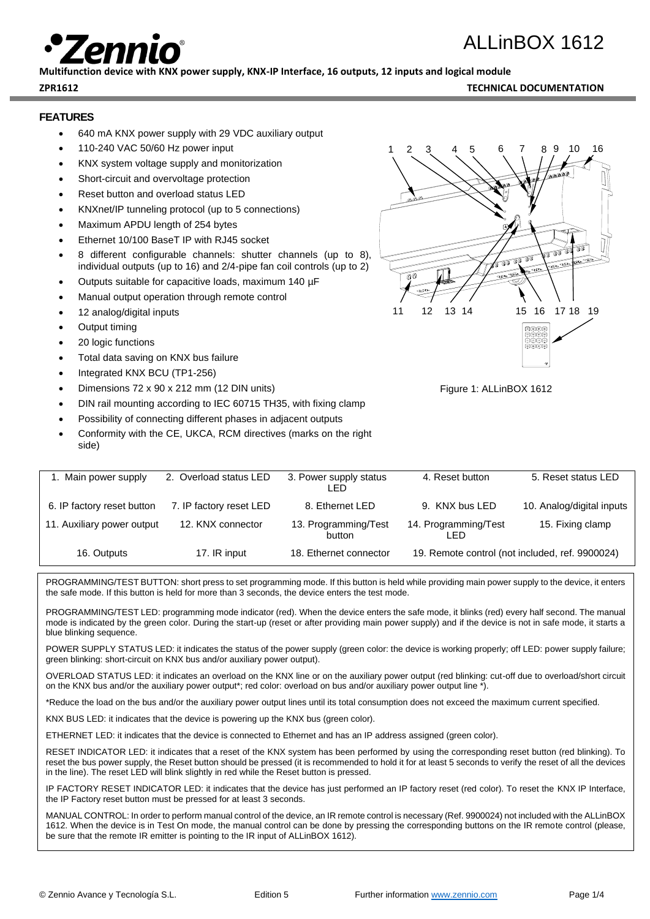# ALLinBOX 1612

**Multifunction device with KNX power supply, KNX-IP Interface, 16 outputs, 12 inputs and logical module**

**ZPR1612 TECHNICAL DOCUMENTATION**

## **FEATURES**

- 640 mA KNX power supply with 29 VDC auxiliary output
- 110-240 VAC 50/60 Hz power input
- KNX system voltage supply and monitorization
- Short-circuit and overvoltage protection
- Reset button and overload status LED
- KNXnet/IP tunneling protocol (up to 5 connections)
- Maximum APDU length of 254 bytes
- Ethernet 10/100 BaseT IP with RJ45 socket
- 8 different configurable channels: shutter channels (up to 8), individual outputs (up to 16) and 2/4-pipe fan coil controls (up to 2)
- Outputs suitable for capacitive loads, maximum 140 µF
- Manual output operation through remote control
- 12 analog/digital inputs
- Output timing
- 20 logic functions
- Total data saving on KNX bus failure
- Integrated KNX BCU (TP1-256)
- Dimensions 72 x 90 x 212 mm (12 DIN units)
- DIN rail mounting according to IEC 60715 TH35, with fixing clamp
- Possibility of connecting different phases in adjacent outputs
- Conformity with the CE, UKCA, RCM directives (marks on the right side)

| 1. Main power supply       | 2. Overload status LED  | 3. Power supply status<br>LED. | 4. Reset button              | 5. Reset status LED                             |
|----------------------------|-------------------------|--------------------------------|------------------------------|-------------------------------------------------|
| 6. IP factory reset button | 7. IP factory reset LED | 8. Ethernet LED                | 9. KNX bus LED               | 10. Analog/digital inputs                       |
| 11. Auxiliary power output | 12. KNX connector       | 13. Programming/Test<br>button | 14. Programming/Test<br>LED. | 15. Fixing clamp                                |
| 16. Outputs                | 17. IR input            | 18. Ethernet connector         |                              | 19. Remote control (not included, ref. 9900024) |

PROGRAMMING/TEST BUTTON: short press to set programming mode. If this button is held while providing main power supply to the device, it enters the safe mode. If this button is held for more than 3 seconds, the device enters the test mode.

PROGRAMMING/TEST LED: programming mode indicator (red). When the device enters the safe mode, it blinks (red) every half second. The manual mode is indicated by the green color. During the start-up (reset or after providing main power supply) and if the device is not in safe mode, it starts a blue blinking sequence.

POWER SUPPLY STATUS LED: it indicates the status of the power supply (green color: the device is working properly; off LED: power supply failure; green blinking: short-circuit on KNX bus and/or auxiliary power output).

OVERLOAD STATUS LED: it indicates an overload on the KNX line or on the auxiliary power output (red blinking: cut-off due to overload/short circuit on the KNX bus and/or the auxiliary power output\*; red color: overload on bus and/or auxiliary power output line \*).

\*Reduce the load on the bus and/or the auxiliary power output lines until its total consumption does not exceed the maximum current specified.

KNX BUS LED: it indicates that the device is powering up the KNX bus (green color).

ETHERNET LED: it indicates that the device is connected to Ethernet and has an IP address assigned (green color).

RESET INDICATOR LED: it indicates that a reset of the KNX system has been performed by using the corresponding reset button (red blinking). To reset the bus power supply, the Reset button should be pressed (it is recommended to hold it for at least 5 seconds to verify the reset of all the devices in the line). The reset LED will blink slightly in red while the Reset button is pressed.

IP FACTORY RESET INDICATOR LED: it indicates that the device has just performed an IP factory reset (red color). To reset the KNX IP Interface, the IP Factory reset button must be pressed for at least 3 seconds.

MANUAL CONTROL: In order to perform manual control of the device, an IR remote control is necessary (Ref. 9900024) not included with the ALLinBOX 1612. When the device is in Test On mode, the manual control can be done by pressing the corresponding buttons on the IR remote control (please, be sure that the remote IR emitter is pointing to the IR input of ALLinBOX 1612).



Figure 1: ALLinBOX 1612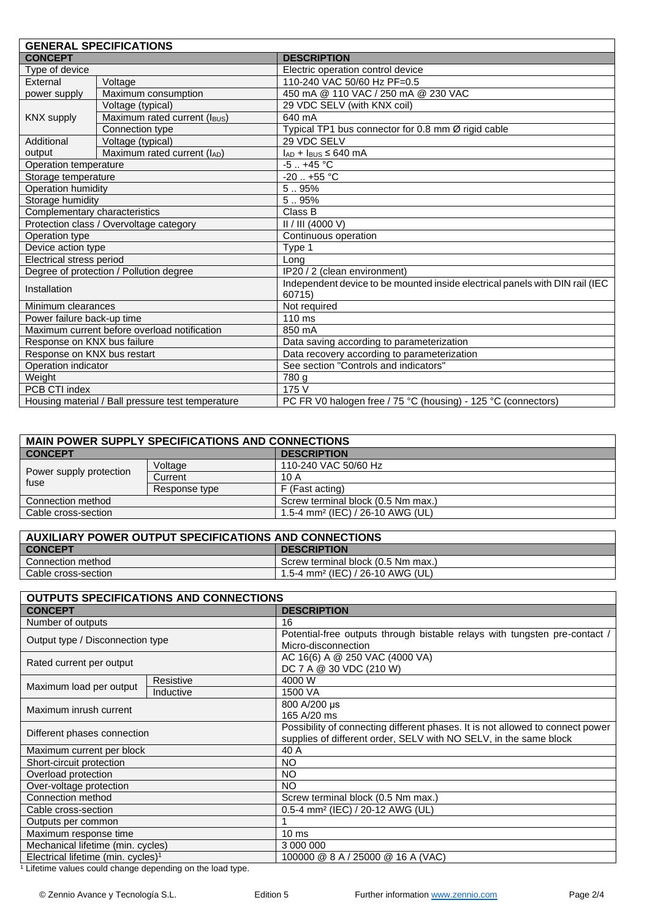| <b>GENERAL SPECIFICATIONS</b>                     |                                              |                                                                              |  |
|---------------------------------------------------|----------------------------------------------|------------------------------------------------------------------------------|--|
| <b>CONCEPT</b>                                    |                                              | <b>DESCRIPTION</b>                                                           |  |
| Type of device                                    |                                              | Electric operation control device                                            |  |
| External                                          | Voltage                                      | 110-240 VAC 50/60 Hz PF=0.5                                                  |  |
| power supply                                      | Maximum consumption                          | 450 mA @ 110 VAC / 250 mA @ 230 VAC                                          |  |
|                                                   | Voltage (typical)                            | 29 VDC SELV (with KNX coil)                                                  |  |
| <b>KNX supply</b>                                 | Maximum rated current (IBUS)                 | 640 mA                                                                       |  |
|                                                   | Connection type                              | Typical TP1 bus connector for 0.8 mm Ø rigid cable                           |  |
| Additional                                        | Voltage (typical)                            | 29 VDC SELV                                                                  |  |
| output                                            | Maximum rated current (IAD)                  | $I_{AD}$ + $I_{BUS}$ ≤ 640 mA                                                |  |
| Operation temperature                             |                                              | $-5.1 + 45$ °C                                                               |  |
| Storage temperature                               |                                              | $-20$ $+55$ °C                                                               |  |
| Operation humidity                                |                                              | 5.95%                                                                        |  |
| Storage humidity                                  |                                              | 5.95%                                                                        |  |
| Complementary characteristics                     |                                              | Class B                                                                      |  |
| Protection class / Overvoltage category           |                                              | II / III (4000 V)                                                            |  |
| Operation type                                    |                                              | Continuous operation                                                         |  |
| Device action type                                |                                              | Type 1                                                                       |  |
| Electrical stress period                          |                                              | Long                                                                         |  |
| Degree of protection / Pollution degree           |                                              | IP20 / 2 (clean environment)                                                 |  |
| Installation                                      |                                              | Independent device to be mounted inside electrical panels with DIN rail (IEC |  |
|                                                   |                                              | 60715)                                                                       |  |
| Minimum clearances                                |                                              | Not required                                                                 |  |
| Power failure back-up time                        |                                              | 110 ms                                                                       |  |
|                                                   | Maximum current before overload notification | 850 mA                                                                       |  |
| Response on KNX bus failure                       |                                              | Data saving according to parameterization                                    |  |
| Response on KNX bus restart                       |                                              | Data recovery according to parameterization                                  |  |
| Operation indicator                               |                                              | See section "Controls and indicators"                                        |  |
| Weight                                            |                                              | 780 g                                                                        |  |
| PCB CTI index                                     |                                              | 175 V                                                                        |  |
| Housing material / Ball pressure test temperature |                                              | PC FR V0 halogen free / 75 °C (housing) - 125 °C (connectors)                |  |

| <b>MAIN POWER SUPPLY SPECIFICATIONS AND CONNECTIONS</b> |                                              |  |  |  |
|---------------------------------------------------------|----------------------------------------------|--|--|--|
|                                                         | <b>DESCRIPTION</b>                           |  |  |  |
| Voltage                                                 | 110-240 VAC 50/60 Hz                         |  |  |  |
| Current                                                 | 10 A                                         |  |  |  |
| Response type                                           | F (Fast acting)                              |  |  |  |
|                                                         | Screw terminal block (0.5 Nm max.)           |  |  |  |
|                                                         | 1.5-4 mm <sup>2</sup> (IEC) / 26-10 AWG (UL) |  |  |  |
|                                                         |                                              |  |  |  |

| AUXILIARY POWER OUTPUT SPECIFICATIONS AND CONNECTIONS |                                              |  |
|-------------------------------------------------------|----------------------------------------------|--|
| <b>CONCEPT</b>                                        | <b>DESCRIPTION</b>                           |  |
| Connection method                                     | Screw terminal block (0.5 Nm max.)           |  |
| Cable cross-section                                   | 1.5-4 mm <sup>2</sup> (IEC) / 26-10 AWG (UL) |  |

| <b>OUTPUTS SPECIFICATIONS AND CONNECTIONS</b>  |           |                                                                                                                                                     |  |  |
|------------------------------------------------|-----------|-----------------------------------------------------------------------------------------------------------------------------------------------------|--|--|
| <b>CONCEPT</b>                                 |           | <b>DESCRIPTION</b>                                                                                                                                  |  |  |
| Number of outputs                              |           | 16                                                                                                                                                  |  |  |
| Output type / Disconnection type               |           | Potential-free outputs through bistable relays with tungsten pre-contact /<br>Micro-disconnection                                                   |  |  |
| Rated current per output                       |           | AC 16(6) A @ 250 VAC (4000 VA)<br>DC 7 A @ 30 VDC (210 W)                                                                                           |  |  |
| Maximum load per output                        | Resistive | 4000 W                                                                                                                                              |  |  |
|                                                | Inductive | 1500 VA                                                                                                                                             |  |  |
| Maximum inrush current                         |           | 800 A/200 µs<br>165 A/20 ms                                                                                                                         |  |  |
| Different phases connection                    |           | Possibility of connecting different phases. It is not allowed to connect power<br>supplies of different order, SELV with NO SELV, in the same block |  |  |
| Maximum current per block                      |           | 40 A                                                                                                                                                |  |  |
| Short-circuit protection                       |           | <b>NO</b>                                                                                                                                           |  |  |
| Overload protection                            |           | <b>NO</b>                                                                                                                                           |  |  |
| Over-voltage protection                        |           | NO.                                                                                                                                                 |  |  |
| Connection method                              |           | Screw terminal block (0.5 Nm max.)                                                                                                                  |  |  |
| Cable cross-section                            |           | 0.5-4 mm <sup>2</sup> (IEC) / 20-12 AWG (UL)                                                                                                        |  |  |
| Outputs per common                             |           |                                                                                                                                                     |  |  |
| Maximum response time                          |           | 10 <sub>ms</sub>                                                                                                                                    |  |  |
| Mechanical lifetime (min. cycles)              |           | 3 000 000                                                                                                                                           |  |  |
| Electrical lifetime (min. cycles) <sup>1</sup> |           | 100000 @ 8 A / 25000 @ 16 A (VAC)                                                                                                                   |  |  |

<sup>1</sup> Lifetime values could change depending on the load type.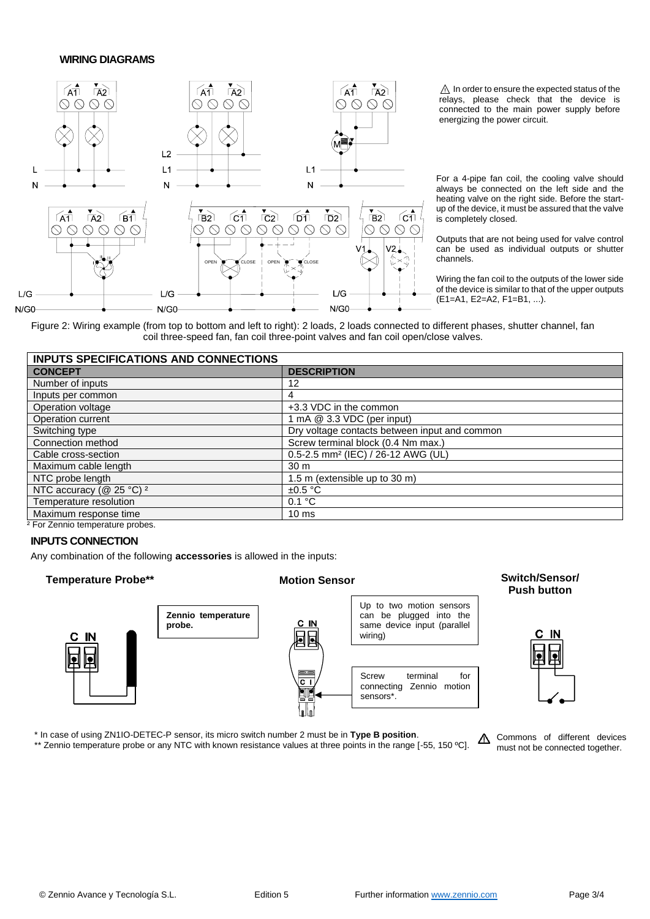#### **WIRING DIAGRAMS**



 $\triangle$  In order to ensure the expected status of the relays, please check that the device is connected to the main power supply before energizing the power circuit.

For a 4-pipe fan coil, the cooling valve should always be connected on the left side and the heating valve on the right side. Before the startup of the device, it must be assured that the valve is completely closed.

Outputs that are not being used for valve control can be used as individual outputs or shutter channels.

Wiring the fan coil to the outputs of the lower side of the device is similar to that of the upper outputs (E1=A1, E2=A2, F1=B1, ...).

Figure 2: Wiring example (from top to bottom and left to right): 2 loads, 2 loads connected to different phases, shutter channel, fan coil three-speed fan, fan coil three-point valves and fan coil open/close valves.

| <b>INPUTS SPECIFICATIONS AND CONNECTIONS</b>      |                                                |  |
|---------------------------------------------------|------------------------------------------------|--|
| <b>CONCEPT</b>                                    | <b>DESCRIPTION</b>                             |  |
| Number of inputs                                  | 12                                             |  |
| Inputs per common                                 | 4                                              |  |
| Operation voltage                                 | +3.3 VDC in the common                         |  |
| Operation current                                 | 1 mA @ 3.3 VDC (per input)                     |  |
| Switching type                                    | Dry voltage contacts between input and common  |  |
| Connection method                                 | Screw terminal block (0.4 Nm max.)             |  |
| Cable cross-section                               | 0.5-2.5 mm <sup>2</sup> (IEC) / 26-12 AWG (UL) |  |
| Maximum cable length                              | 30 <sub>m</sub>                                |  |
| NTC probe length                                  | 1.5 m (extensible up to 30 m)                  |  |
| NTC accuracy (@ 25 $\overline{°C}$ ) <sup>2</sup> | $\pm 0.5$ °C                                   |  |
| Temperature resolution                            | 0.1 °C                                         |  |
| Maximum response time                             | 10 <sub>ms</sub>                               |  |
|                                                   |                                                |  |

² For Zennio temperature probes.

#### **INPUTS CONNECTION**

Any combination of the following **accessories** is allowed in the inputs:

### **Temperature Probe\*\* Motion Sensor Switch/Sensor/**



# **Push button**



\* In case of using ZN1IO-DETEC-P sensor, its micro switch number 2 must be in **Type B position**. \*\* Zennio temperature probe or any NTC with known resistance values at three points in the range [-55, 150 °C].

A Commons of different devices must not be connected together.